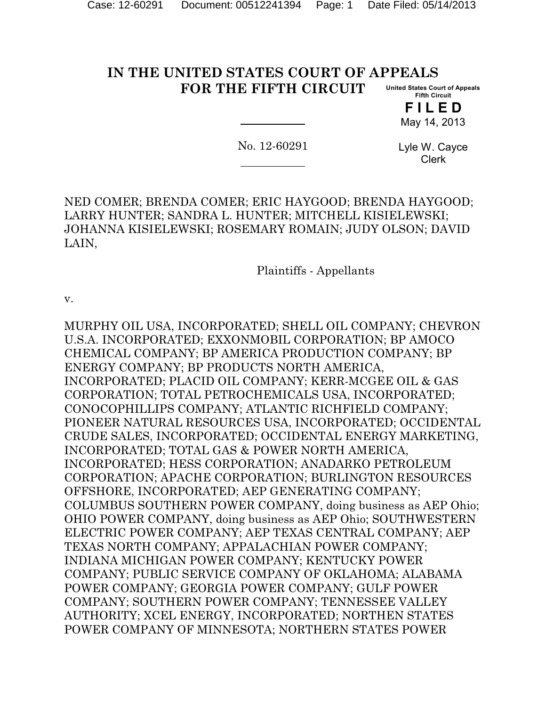#### **IN THE UNITED STATES COURT OF APPEALS FOR THE FIFTH CIRCUIT United States Court of Appeals Fifth Circuit**

**F I L E D** May 14, 2013

No. 12-60291

Lyle W. Cayce Clerk

NED COMER; BRENDA COMER; ERIC HAYGOOD; BRENDA HAYGOOD; LARRY HUNTER; SANDRA L. HUNTER; MITCHELL KISIELEWSKI; JOHANNA KISIELEWSKI; ROSEMARY ROMAIN; JUDY OLSON; DAVID LAIN,

Plaintiffs - Appellants

v.

MURPHY OIL USA, INCORPORATED; SHELL OIL COMPANY; CHEVRON U.S.A. INCORPORATED; EXXONMOBIL CORPORATION; BP AMOCO CHEMICAL COMPANY; BP AMERICA PRODUCTION COMPANY; BP ENERGY COMPANY; BP PRODUCTS NORTH AMERICA, INCORPORATED; PLACID OIL COMPANY; KERR-MCGEE OIL & GAS CORPORATION; TOTAL PETROCHEMICALS USA, INCORPORATED; CONOCOPHILLIPS COMPANY; ATLANTIC RICHFIELD COMPANY; PIONEER NATURAL RESOURCES USA, INCORPORATED; OCCIDENTAL CRUDE SALES, INCORPORATED; OCCIDENTAL ENERGY MARKETING, INCORPORATED; TOTAL GAS & POWER NORTH AMERICA, INCORPORATED; HESS CORPORATION; ANADARKO PETROLEUM CORPORATION; APACHE CORPORATION; BURLINGTON RESOURCES OFFSHORE, INCORPORATED; AEP GENERATING COMPANY; COLUMBUS SOUTHERN POWER COMPANY, doing business as AEP Ohio; OHIO POWER COMPANY, doing business as AEP Ohio; SOUTHWESTERN ELECTRIC POWER COMPANY; AEP TEXAS CENTRAL COMPANY; AEP TEXAS NORTH COMPANY; APPALACHIAN POWER COMPANY; INDIANA MICHIGAN POWER COMPANY; KENTUCKY POWER COMPANY; PUBLIC SERVICE COMPANY OF OKLAHOMA; ALABAMA POWER COMPANY; GEORGIA POWER COMPANY; GULF POWER COMPANY; SOUTHERN POWER COMPANY; TENNESSEE VALLEY AUTHORITY; XCEL ENERGY, INCORPORATED; NORTHEN STATES POWER COMPANY OF MINNESOTA; NORTHERN STATES POWER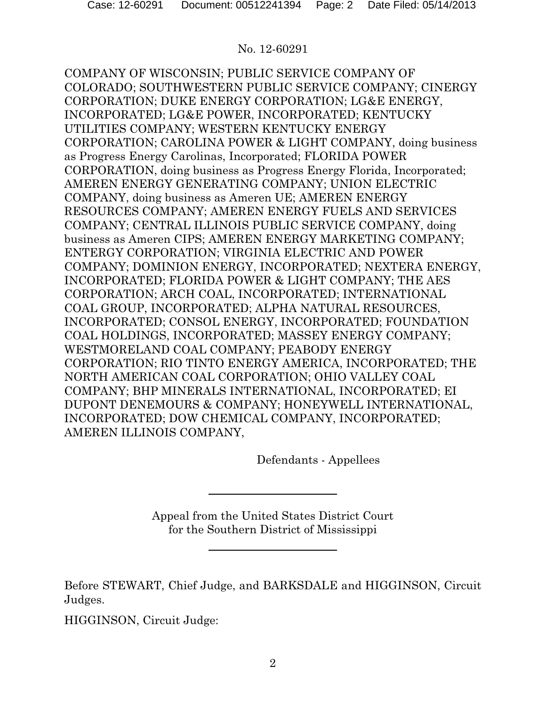COMPANY OF WISCONSIN; PUBLIC SERVICE COMPANY OF COLORADO; SOUTHWESTERN PUBLIC SERVICE COMPANY; CINERGY CORPORATION; DUKE ENERGY CORPORATION; LG&E ENERGY, INCORPORATED; LG&E POWER, INCORPORATED; KENTUCKY UTILITIES COMPANY; WESTERN KENTUCKY ENERGY CORPORATION; CAROLINA POWER & LIGHT COMPANY, doing business as Progress Energy Carolinas, Incorporated; FLORIDA POWER CORPORATION, doing business as Progress Energy Florida, Incorporated; AMEREN ENERGY GENERATING COMPANY; UNION ELECTRIC COMPANY, doing business as Ameren UE; AMEREN ENERGY RESOURCES COMPANY; AMEREN ENERGY FUELS AND SERVICES COMPANY; CENTRAL ILLINOIS PUBLIC SERVICE COMPANY, doing business as Ameren CIPS; AMEREN ENERGY MARKETING COMPANY; ENTERGY CORPORATION; VIRGINIA ELECTRIC AND POWER COMPANY; DOMINION ENERGY, INCORPORATED; NEXTERA ENERGY, INCORPORATED; FLORIDA POWER & LIGHT COMPANY; THE AES CORPORATION; ARCH COAL, INCORPORATED; INTERNATIONAL COAL GROUP, INCORPORATED; ALPHA NATURAL RESOURCES, INCORPORATED; CONSOL ENERGY, INCORPORATED; FOUNDATION COAL HOLDINGS, INCORPORATED; MASSEY ENERGY COMPANY; WESTMORELAND COAL COMPANY; PEABODY ENERGY CORPORATION; RIO TINTO ENERGY AMERICA, INCORPORATED; THE NORTH AMERICAN COAL CORPORATION; OHIO VALLEY COAL COMPANY; BHP MINERALS INTERNATIONAL, INCORPORATED; EI DUPONT DENEMOURS & COMPANY; HONEYWELL INTERNATIONAL, INCORPORATED; DOW CHEMICAL COMPANY, INCORPORATED; AMEREN ILLINOIS COMPANY,

Defendants - Appellees

Appeal from the United States District Court for the Southern District of Mississippi

Before STEWART, Chief Judge, and BARKSDALE and HIGGINSON, Circuit Judges.

HIGGINSON, Circuit Judge: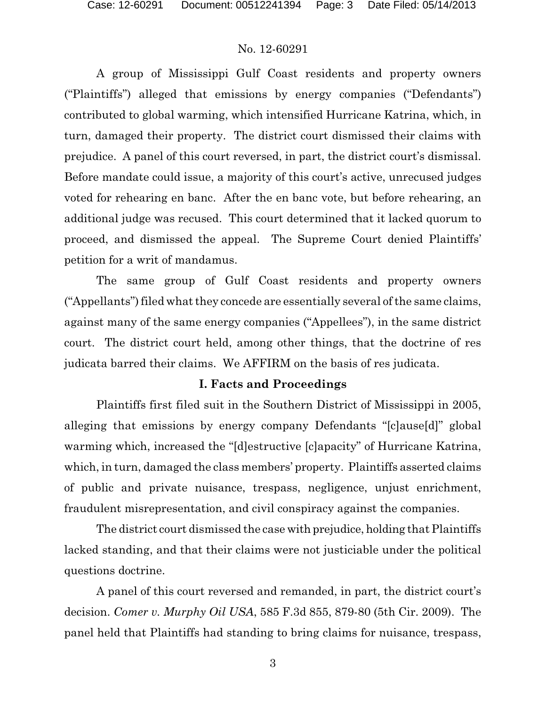A group of Mississippi Gulf Coast residents and property owners ("Plaintiffs") alleged that emissions by energy companies ("Defendants") contributed to global warming, which intensified Hurricane Katrina, which, in turn, damaged their property. The district court dismissed their claims with prejudice. A panel of this court reversed, in part, the district court's dismissal. Before mandate could issue, a majority of this court's active, unrecused judges voted for rehearing en banc. After the en banc vote, but before rehearing, an additional judge was recused. This court determined that it lacked quorum to proceed, and dismissed the appeal. The Supreme Court denied Plaintiffs' petition for a writ of mandamus.

The same group of Gulf Coast residents and property owners ("Appellants") filed what they concede are essentially several of the same claims, against many of the same energy companies ("Appellees"), in the same district court. The district court held, among other things, that the doctrine of res judicata barred their claims. We AFFIRM on the basis of res judicata.

## **I. Facts and Proceedings**

Plaintiffs first filed suit in the Southern District of Mississippi in 2005, alleging that emissions by energy company Defendants "[c]ause[d]" global warming which, increased the "[d]estructive [c]apacity" of Hurricane Katrina, which, in turn, damaged the class members' property. Plaintiffs asserted claims of public and private nuisance, trespass, negligence, unjust enrichment, fraudulent misrepresentation, and civil conspiracy against the companies.

The district court dismissed the case with prejudice, holding that Plaintiffs lacked standing, and that their claims were not justiciable under the political questions doctrine.

A panel of this court reversed and remanded, in part, the district court's decision. *Comer v. Murphy Oil USA*, 585 F.3d 855, 879-80 (5th Cir. 2009). The panel held that Plaintiffs had standing to bring claims for nuisance, trespass,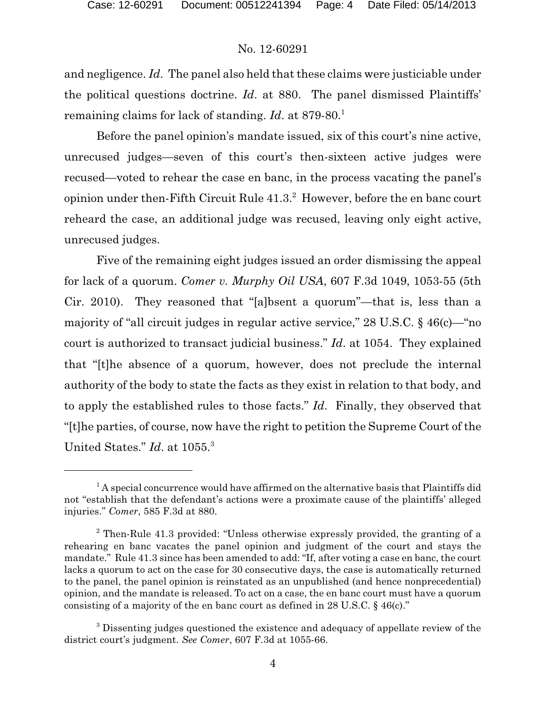and negligence. *Id*. The panel also held that these claims were justiciable under the political questions doctrine. *Id*. at 880. The panel dismissed Plaintiffs' remaining claims for lack of standing. *Id.* at 879-80.<sup>1</sup>

Before the panel opinion's mandate issued, six of this court's nine active, unrecused judges—seven of this court's then-sixteen active judges were recused—voted to rehear the case en banc, in the process vacating the panel's opinion under then-Fifth Circuit Rule  $41.3<sup>2</sup>$  However, before the en banc court reheard the case, an additional judge was recused, leaving only eight active, unrecused judges.

Five of the remaining eight judges issued an order dismissing the appeal for lack of a quorum. *Comer v. Murphy Oil USA*, 607 F.3d 1049, 1053-55 (5th Cir. 2010). They reasoned that "[a]bsent a quorum"—that is, less than a majority of "all circuit judges in regular active service," 28 U.S.C. § 46(c)—"no court is authorized to transact judicial business." *Id*. at 1054. They explained that "[t]he absence of a quorum, however, does not preclude the internal authority of the body to state the facts as they exist in relation to that body, and to apply the established rules to those facts." *Id*. Finally, they observed that "[t]he parties, of course, now have the right to petition the Supreme Court of the United States." *Id*. at 1055.<sup>3</sup>

 $1$ <sup>1</sup> A special concurrence would have affirmed on the alternative basis that Plaintiffs did not "establish that the defendant's actions were a proximate cause of the plaintiffs' alleged injuries." *Comer*, 585 F.3d at 880.

<sup>2</sup> Then-Rule 41.3 provided: "Unless otherwise expressly provided, the granting of a rehearing en banc vacates the panel opinion and judgment of the court and stays the mandate." Rule 41.3 since has been amended to add: "If, after voting a case en banc, the court lacks a quorum to act on the case for 30 consecutive days, the case is automatically returned to the panel, the panel opinion is reinstated as an unpublished (and hence nonprecedential) opinion, and the mandate is released. To act on a case, the en banc court must have a quorum consisting of a majority of the en banc court as defined in 28 U.S.C. § 46(c)."

<sup>&</sup>lt;sup>3</sup> Dissenting judges questioned the existence and adequacy of appellate review of the district court's judgment. *See Comer*, 607 F.3d at 1055-66.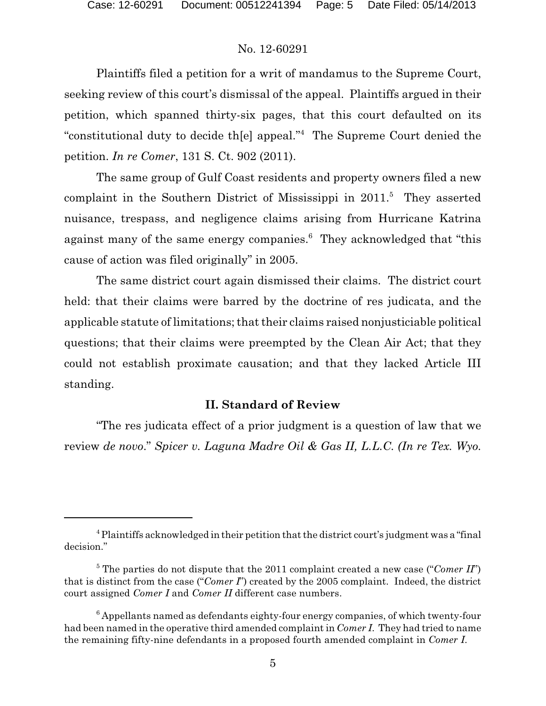Plaintiffs filed a petition for a writ of mandamus to the Supreme Court, seeking review of this court's dismissal of the appeal. Plaintiffs argued in their petition, which spanned thirty-six pages, that this court defaulted on its "constitutional duty to decide th[e] appeal."<sup>4</sup> The Supreme Court denied the petition. *In re Comer*, 131 S. Ct. 902 (2011).

The same group of Gulf Coast residents and property owners filed a new complaint in the Southern District of Mississippi in  $2011$ <sup>5</sup>. They asserted nuisance, trespass, and negligence claims arising from Hurricane Katrina against many of the same energy companies.<sup>6</sup> They acknowledged that "this cause of action was filed originally" in 2005.

The same district court again dismissed their claims. The district court held: that their claims were barred by the doctrine of res judicata, and the applicable statute of limitations; that their claims raised nonjusticiable political questions; that their claims were preempted by the Clean Air Act; that they could not establish proximate causation; and that they lacked Article III standing.

### **II. Standard of Review**

"The res judicata effect of a prior judgment is a question of law that we review *de novo*." *Spicer v. Laguna Madre Oil & Gas II, L.L.C. (In re Tex. Wyo.*

<sup>&</sup>lt;sup>4</sup> Plaintiffs acknowledged in their petition that the district court's judgment was a "final" decision."

<sup>&</sup>lt;sup>5</sup> The parties do not dispute that the 2011 complaint created a new case ("*Comer II*") that is distinct from the case ("*Comer I*") created by the 2005 complaint. Indeed, the district court assigned *Comer I* and *Comer II* different case numbers.

 $6$  Appellants named as defendants eighty-four energy companies, of which twenty-four had been named in the operative third amended complaint in *Comer I*. They had tried to name the remaining fifty-nine defendants in a proposed fourth amended complaint in *Comer I*.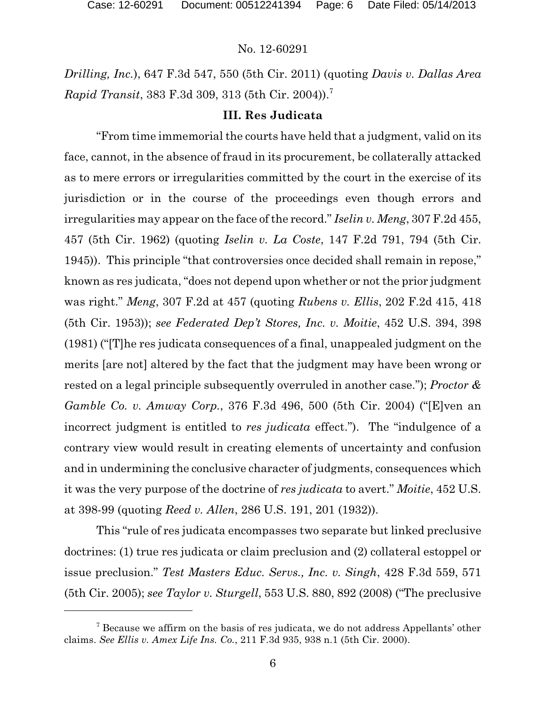*Drilling, Inc.*), 647 F.3d 547, 550 (5th Cir. 2011) (quoting *Davis v. Dallas Area Rapid Transit*, 383 F.3d 309, 313 (5th Cir. 2004)).<sup>7</sup>

### **III. Res Judicata**

"From time immemorial the courts have held that a judgment, valid on its face, cannot, in the absence of fraud in its procurement, be collaterally attacked as to mere errors or irregularities committed by the court in the exercise of its jurisdiction or in the course of the proceedings even though errors and irregularities may appear on the face of the record." *Iselin v. Meng*, 307 F.2d 455, 457 (5th Cir. 1962) (quoting *Iselin v. La Coste*, 147 F.2d 791, 794 (5th Cir. 1945)). This principle "that controversies once decided shall remain in repose," known as res judicata, "does not depend upon whether or not the prior judgment was right." *Meng*, 307 F.2d at 457 (quoting *Rubens v. Ellis*, 202 F.2d 415, 418 (5th Cir. 1953)); *see Federated Dep't Stores, Inc. v. Moitie*, 452 U.S. 394, 398 (1981) ("[T]he res judicata consequences of a final, unappealed judgment on the merits [are not] altered by the fact that the judgment may have been wrong or rested on a legal principle subsequently overruled in another case."); *Proctor & Gamble Co. v. Amway Corp.*, 376 F.3d 496, 500 (5th Cir. 2004) ("[E]ven an incorrect judgment is entitled to *res judicata* effect."). The "indulgence of a contrary view would result in creating elements of uncertainty and confusion and in undermining the conclusive character of judgments, consequences which it was the very purpose of the doctrine of *res judicata* to avert." *Moitie*, 452 U.S. at 398-99 (quoting *Reed v. Allen*, 286 U.S. 191, 201 (1932)).

This "rule of res judicata encompasses two separate but linked preclusive doctrines: (1) true res judicata or claim preclusion and (2) collateral estoppel or issue preclusion." *Test Masters Educ. Servs., Inc. v. Singh*, 428 F.3d 559, 571 (5th Cir. 2005); *see Taylor v. Sturgell*, 553 U.S. 880, 892 (2008) ("The preclusive

 $7$  Because we affirm on the basis of res judicata, we do not address Appellants' other claims. *See Ellis v. Amex Life Ins. Co.*, 211 F.3d 935, 938 n.1 (5th Cir. 2000).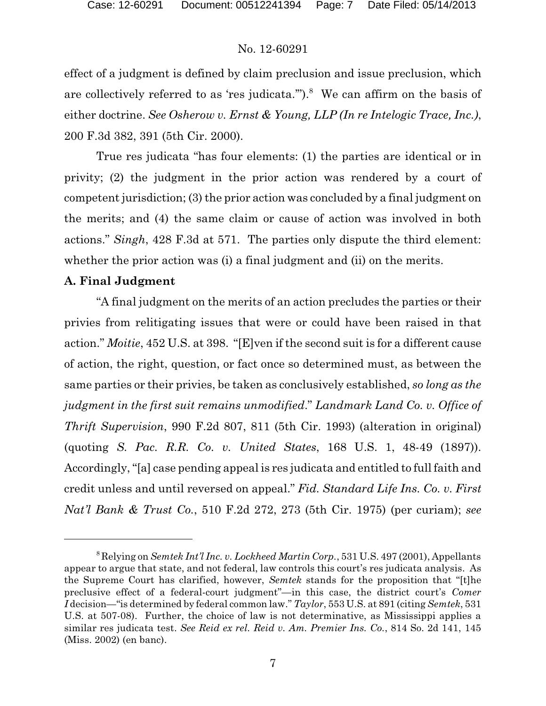effect of a judgment is defined by claim preclusion and issue preclusion, which are collectively referred to as 'res judicata.").<sup>8</sup> We can affirm on the basis of either doctrine. *See Osherow v. Ernst & Young, LLP (In re Intelogic Trace, Inc.)*, 200 F.3d 382, 391 (5th Cir. 2000).

True res judicata "has four elements: (1) the parties are identical or in privity; (2) the judgment in the prior action was rendered by a court of competent jurisdiction; (3) the prior action was concluded by a final judgment on the merits; and (4) the same claim or cause of action was involved in both actions." *Singh*, 428 F.3d at 571. The parties only dispute the third element: whether the prior action was (i) a final judgment and (ii) on the merits.

### **A. Final Judgment**

"A final judgment on the merits of an action precludes the parties or their privies from relitigating issues that were or could have been raised in that action." *Moitie*, 452 U.S. at 398. "[E]ven if the second suit is for a different cause of action, the right, question, or fact once so determined must, as between the same parties or their privies, be taken as conclusively established, *so long as the judgment in the first suit remains unmodified*." *Landmark Land Co. v. Office of Thrift Supervision*, 990 F.2d 807, 811 (5th Cir. 1993) (alteration in original) (quoting *S. Pac. R.R. Co. v. United States*, 168 U.S. 1, 48-49 (1897)). Accordingly, "[a] case pending appeal is res judicata and entitled to full faith and credit unless and until reversed on appeal." *Fid. Standard Life Ins. Co. v. First Nat'l Bank & Trust Co.*, 510 F.2d 272, 273 (5th Cir. 1975) (per curiam); *see*

<sup>8</sup> Relying on *Semtek Int'l Inc. v. Lockheed Martin Corp.*, 531 U.S. 497 (2001), Appellants appear to argue that state, and not federal, law controls this court's res judicata analysis. As the Supreme Court has clarified, however, *Semtek* stands for the proposition that "[t]he preclusive effect of a federal-court judgment"—in this case, the district court's *Comer I* decision—"is determined by federal common law." *Taylor*, 553 U.S. at 891 (citing *Semtek*, 531 U.S. at 507-08). Further, the choice of law is not determinative, as Mississippi applies a similar res judicata test. *See Reid ex rel. Reid v. Am. Premier Ins. Co.*, 814 So. 2d 141, 145 (Miss. 2002) (en banc).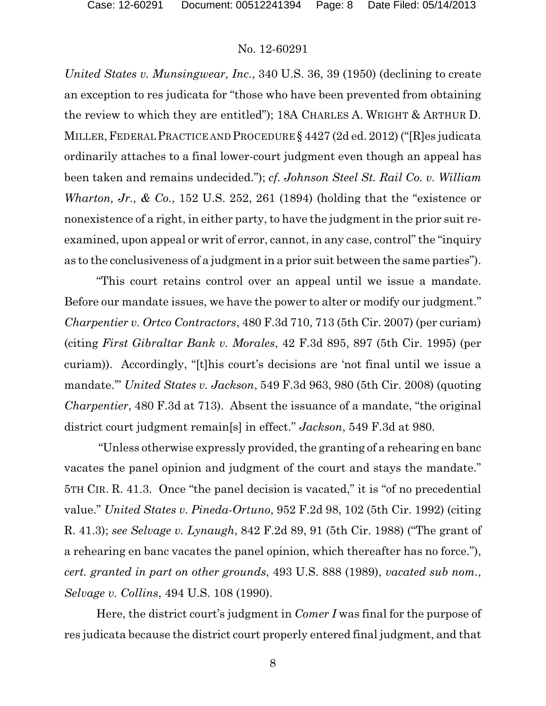*United States v. Munsingwear, Inc.*, 340 U.S. 36, 39 (1950) (declining to create an exception to res judicata for "those who have been prevented from obtaining the review to which they are entitled"); 18A CHARLES A. WRIGHT & ARTHUR D. MILLER,FEDERAL PRACTICE AND PROCEDURE § 4427 (2d ed. 2012) ("[R]es judicata ordinarily attaches to a final lower-court judgment even though an appeal has been taken and remains undecided."); *cf. Johnson Steel St. Rail Co. v. William Wharton, Jr., & Co.*, 152 U.S. 252, 261 (1894) (holding that the "existence or nonexistence of a right, in either party, to have the judgment in the prior suit reexamined, upon appeal or writ of error, cannot, in any case, control" the "inquiry as to the conclusiveness of a judgment in a prior suit between the same parties").

"This court retains control over an appeal until we issue a mandate. Before our mandate issues, we have the power to alter or modify our judgment." *Charpentier v. Ortco Contractors*, 480 F.3d 710, 713 (5th Cir. 2007) (per curiam) (citing *First Gibraltar Bank v. Morales*, 42 F.3d 895, 897 (5th Cir. 1995) (per curiam)). Accordingly, "[t]his court's decisions are 'not final until we issue a mandate.'" *United States v. Jackson*, 549 F.3d 963, 980 (5th Cir. 2008) (quoting *Charpentier*, 480 F.3d at 713). Absent the issuance of a mandate, "the original district court judgment remain[s] in effect." *Jackson*, 549 F.3d at 980.

"Unless otherwise expressly provided, the granting of a rehearing en banc vacates the panel opinion and judgment of the court and stays the mandate." 5TH CIR. R. 41.3. Once "the panel decision is vacated," it is "of no precedential value." *United States v. Pineda-Ortuno*, 952 F.2d 98, 102 (5th Cir. 1992) (citing R. 41.3); *see Selvage v. Lynaugh*, 842 F.2d 89, 91 (5th Cir. 1988) ("The grant of a rehearing en banc vacates the panel opinion, which thereafter has no force."), *cert. granted in part on other grounds*, 493 U.S. 888 (1989), *vacated sub nom.*, *Selvage v. Collins*, 494 U.S. 108 (1990).

Here, the district court's judgment in *Comer I* was final for the purpose of res judicata because the district court properly entered final judgment, and that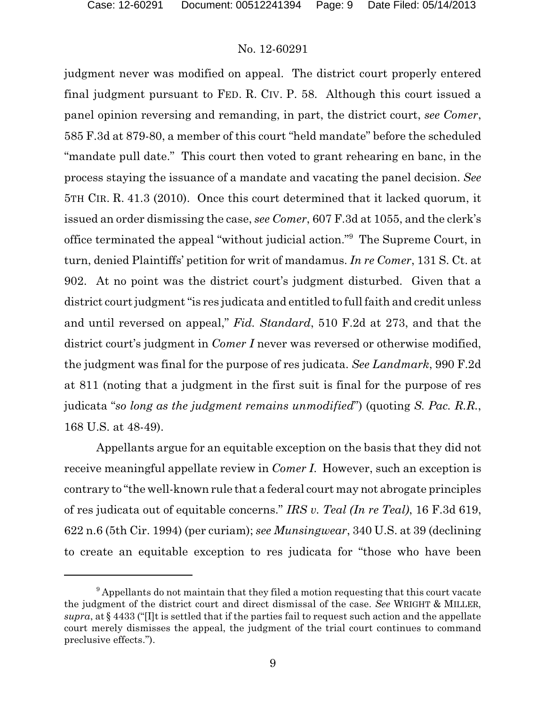judgment never was modified on appeal. The district court properly entered final judgment pursuant to FED. R. CIV. P. 58. Although this court issued a panel opinion reversing and remanding, in part, the district court, *see Comer*, 585 F.3d at 879-80, a member of this court "held mandate" before the scheduled "mandate pull date." This court then voted to grant rehearing en banc, in the process staying the issuance of a mandate and vacating the panel decision. *See* 5TH CIR. R. 41.3 (2010). Once this court determined that it lacked quorum, it issued an order dismissing the case, *see Comer*, 607 F.3d at 1055, and the clerk's office terminated the appeal "without judicial action."<sup>9</sup> The Supreme Court, in turn, denied Plaintiffs' petition for writ of mandamus. *In re Comer*, 131 S. Ct. at 902. At no point was the district court's judgment disturbed. Given that a district court judgment "is res judicata and entitled to full faith and credit unless and until reversed on appeal," *Fid. Standard*, 510 F.2d at 273, and that the district court's judgment in *Comer I* never was reversed or otherwise modified, the judgment was final for the purpose of res judicata. *See Landmark*, 990 F.2d at 811 (noting that a judgment in the first suit is final for the purpose of res judicata "*so long as the judgment remains unmodified*") (quoting *S. Pac. R.R.*, 168 U.S. at 48-49).

Appellants argue for an equitable exception on the basis that they did not receive meaningful appellate review in *Comer I*. However, such an exception is contrary to "the well-known rule that a federal court may not abrogate principles of res judicata out of equitable concerns." *IRS v. Teal (In re Teal)*, 16 F.3d 619, 622 n.6 (5th Cir. 1994) (per curiam); *see Munsingwear*, 340 U.S. at 39 (declining to create an equitable exception to res judicata for "those who have been

<sup>&</sup>lt;sup>9</sup> Appellants do not maintain that they filed a motion requesting that this court vacate the judgment of the district court and direct dismissal of the case. *See* WRIGHT & MILLER,  $supra$ , at  $\S$  4433 ("I]t is settled that if the parties fail to request such action and the appellate court merely dismisses the appeal, the judgment of the trial court continues to command preclusive effects.").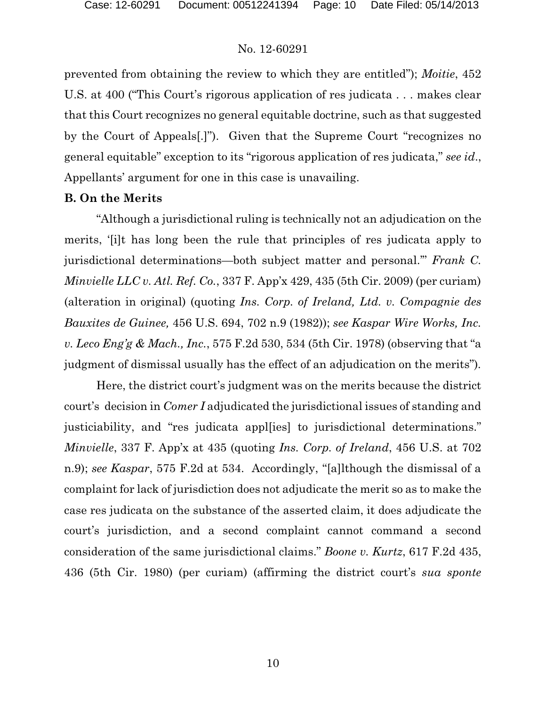prevented from obtaining the review to which they are entitled"); *Moitie*, 452 U.S. at 400 ("This Court's rigorous application of res judicata . . . makes clear that this Court recognizes no general equitable doctrine, such as that suggested by the Court of Appeals[.]"). Given that the Supreme Court "recognizes no general equitable" exception to its "rigorous application of res judicata," *see id*., Appellants' argument for one in this case is unavailing.

### **B. On the Merits**

"Although a jurisdictional ruling is technically not an adjudication on the merits, '[i]t has long been the rule that principles of res judicata apply to jurisdictional determinations—both subject matter and personal.'" *Frank C. Minvielle LLC v. Atl. Ref. Co.*, 337 F. App'x 429, 435 (5th Cir. 2009) (per curiam) (alteration in original) (quoting *Ins. Corp. of Ireland, Ltd. v. Compagnie des Bauxites de Guinee,* 456 U.S. 694, 702 n.9 (1982)); *see Kaspar Wire Works, Inc. v. Leco Eng'g & Mach., Inc.*, 575 F.2d 530, 534 (5th Cir. 1978) (observing that "a judgment of dismissal usually has the effect of an adjudication on the merits")*.*

Here, the district court's judgment was on the merits because the district court's decision in *Comer I* adjudicated the jurisdictional issues of standing and justiciability, and "res judicata appl[ies] to jurisdictional determinations." *Minvielle*, 337 F. App'x at 435 (quoting *Ins. Corp. of Ireland*, 456 U.S. at 702 n.9); *see Kaspar*, 575 F.2d at 534. Accordingly, "[a]lthough the dismissal of a complaint for lack of jurisdiction does not adjudicate the merit so as to make the case res judicata on the substance of the asserted claim, it does adjudicate the court's jurisdiction, and a second complaint cannot command a second consideration of the same jurisdictional claims." *Boone v. Kurtz*, 617 F.2d 435, 436 (5th Cir. 1980) (per curiam) (affirming the district court's *sua sponte*